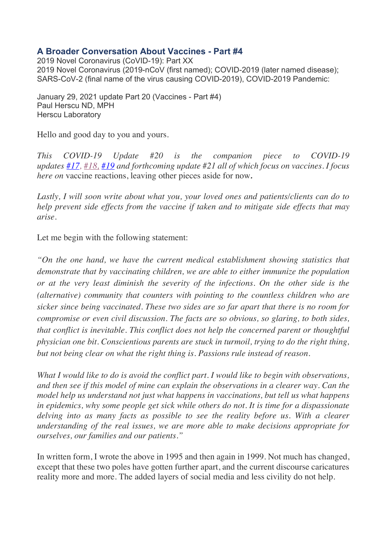# **A Broader Conversation About Vaccines - Part #4**

2019 Novel Coronavirus (CoVID-19): Part XX 2019 Novel Coronavirus (2019-nCoV (first named); COVID-2019 (later named disease); SARS-CoV-2 (final name of the virus causing COVID-2019), COVID-2019 Pandemic:

January 29, 2021 update Part 20 (Vaccines - Part #4) Paul Herscu ND, MPH Herscu Laboratory

Hello and good day to you and yours.

*This COVID-19 Update #20 is the companion piece to COVID-19 updates #17, #18, #19 and forthcoming update #21 all of which focus on vaccines. I focus here on* vaccine reactions, leaving other pieces aside for now*.*

*Lastly, I will soon write about what you, your loved ones and patients/clients can do to help prevent side effects from the vaccine if taken and to mitigate side effects that may arise.*

Let me begin with the following statement:

*"On the one hand, we have the current medical establishment showing statistics that demonstrate that by vaccinating children, we are able to either immunize the population or at the very least diminish the severity of the infections. On the other side is the (alternative) community that counters with pointing to the countless children who are sicker since being vaccinated. These two sides are so far apart that there is no room for compromise or even civil discussion. The facts are so obvious, so glaring, to both sides, that conflict is inevitable. This conflict does not help the concerned parent or thoughtful physician one bit. Conscientious parents are stuck in turmoil, trying to do the right thing, but not being clear on what the right thing is. Passions rule instead of reason.*

*What I would like to do is avoid the conflict part. I would like to begin with observations, and then see if this model of mine can explain the observations in a clearer way. Can the model help us understand not just what happens in vaccinations, but tell us what happens in epidemics, why some people get sick while others do not. It is time for a dispassionate delving into as many facts as possible to see the reality before us. With a clearer understanding of the real issues, we are more able to make decisions appropriate for ourselves, our families and our patients."*

In written form, I wrote the above in 1995 and then again in 1999. Not much has changed, except that these two poles have gotten further apart, and the current discourse caricatures reality more and more. The added layers of social media and less civility do not help.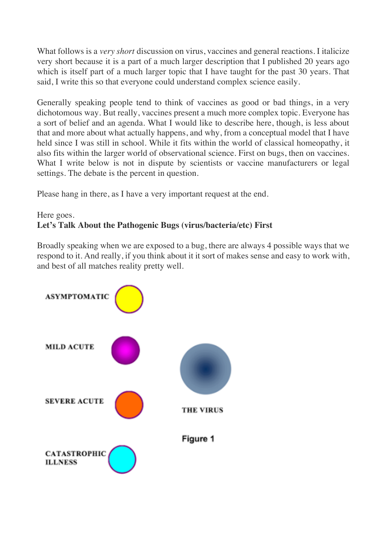What follows is a *very short* discussion on virus, vaccines and general reactions. I italicize very short because it is a part of a much larger description that I published 20 years ago which is itself part of a much larger topic that I have taught for the past 30 years. That said, I write this so that everyone could understand complex science easily.

Generally speaking people tend to think of vaccines as good or bad things, in a very dichotomous way. But really, vaccines present a much more complex topic. Everyone has a sort of belief and an agenda. What I would like to describe here, though, is less about that and more about what actually happens, and why, from a conceptual model that I have held since I was still in school. While it fits within the world of classical homeopathy, it also fits within the larger world of observational science. First on bugs, then on vaccines. What I write below is not in dispute by scientists or vaccine manufacturers or legal settings. The debate is the percent in question.

Please hang in there, as I have a very important request at the end.

# Here goes. **Let's Talk About the Pathogenic Bugs (virus/bacteria/etc) First**

Broadly speaking when we are exposed to a bug, there are always 4 possible ways that we respond to it. And really, if you think about it it sort of makes sense and easy to work with, and best of all matches reality pretty well.

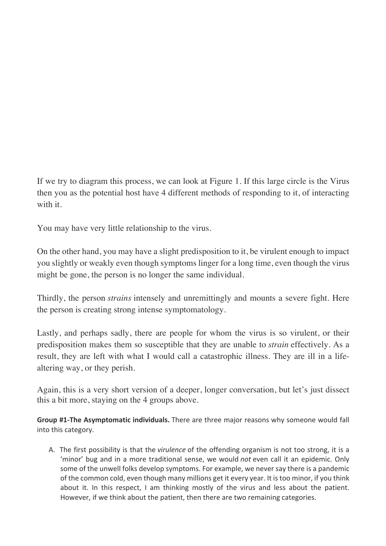If we try to diagram this process, we can look at Figure 1. If this large circle is the Virus then you as the potential host have 4 different methods of responding to it, of interacting with it.

You may have very little relationship to the virus.

On the other hand, you may have a slight predisposition to it, be virulent enough to impact you slightly or weakly even though symptoms linger for a long time, even though the virus might be gone, the person is no longer the same individual.

Thirdly, the person *strains* intensely and unremittingly and mounts a severe fight. Here the person is creating strong intense symptomatology.

Lastly, and perhaps sadly, there are people for whom the virus is so virulent, or their predisposition makes them so susceptible that they are unable to *strain* effectively. As a result, they are left with what I would call a catastrophic illness. They are ill in a lifealtering way, or they perish.

Again, this is a very short version of a deeper, longer conversation, but let's just dissect this a bit more, staying on the 4 groups above.

**Group #1-The Asymptomatic individuals.** There are three major reasons why someone would fall into this category.

A. The first possibility is that the *virulence* of the offending organism is not too strong, it is a 'minor' bug and in a more traditional sense, we would *not* even call it an epidemic. Only some of the unwell folks develop symptoms. For example, we never say there is a pandemic of the common cold, even though many millions get it every year. It is too minor, if you think about it. In this respect, I am thinking mostly of the virus and less about the patient. However, if we think about the patient, then there are two remaining categories.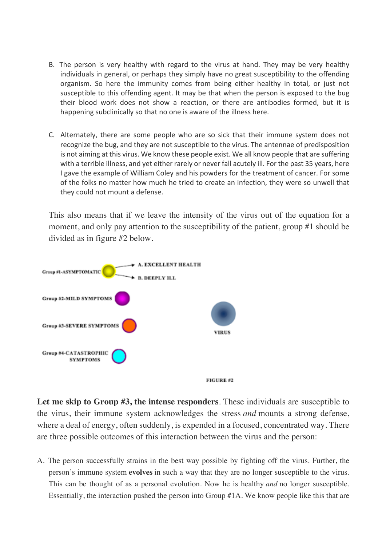- B. The person is very healthy with regard to the virus at hand. They may be very healthy individuals in general, or perhaps they simply have no great susceptibility to the offending organism. So here the immunity comes from being either healthy in total, or just not susceptible to this offending agent. It may be that when the person is exposed to the bug their blood work does not show a reaction, or there are antibodies formed, but it is happening subclinically so that no one is aware of the illness here.
- C. Alternately, there are some people who are so sick that their immune system does not recognize the bug, and they are not susceptible to the virus. The antennae of predisposition is not aiming at this virus. We know these people exist. We all know people that are suffering with a terrible illness, and yet either rarely or never fall acutely ill. For the past 35 years, here I gave the example of William Coley and his powders for the treatment of cancer. For some of the folks no matter how much he tried to create an infection, they were so unwell that they could not mount a defense.

This also means that if we leave the intensity of the virus out of the equation for a moment, and only pay attention to the susceptibility of the patient, group #1 should be divided as in figure #2 below.



**Let me skip to Group #3, the intense responders**. These individuals are susceptible to the virus, their immune system acknowledges the stress *and* mounts a strong defense, where a deal of energy, often suddenly, is expended in a focused, concentrated way. There are three possible outcomes of this interaction between the virus and the person:

A. The person successfully strains in the best way possible by fighting off the virus. Further, the person's immune system **evolves** in such a way that they are no longer susceptible to the virus. This can be thought of as a personal evolution. Now he is healthy *and* no longer susceptible. Essentially, the interaction pushed the person into Group #1A. We know people like this that are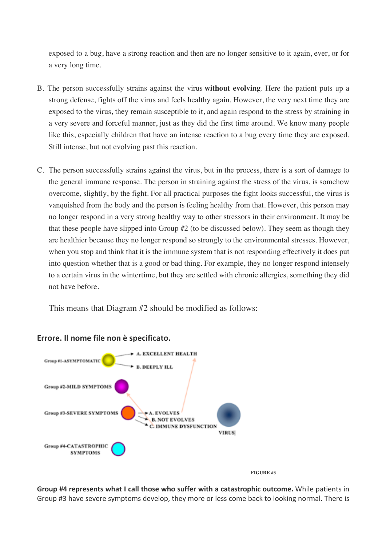exposed to a bug, have a strong reaction and then are no longer sensitive to it again, ever, or for a very long time.

- B. The person successfully strains against the virus **without evolving**. Here the patient puts up a strong defense, fights off the virus and feels healthy again. However, the very next time they are exposed to the virus, they remain susceptible to it, and again respond to the stress by straining in a very severe and forceful manner, just as they did the first time around. We know many people like this, especially children that have an intense reaction to a bug every time they are exposed. Still intense, but not evolving past this reaction.
- C. The person successfully strains against the virus, but in the process, there is a sort of damage to the general immune response. The person in straining against the stress of the virus, is somehow overcome, slightly, by the fight. For all practical purposes the fight looks successful, the virus is vanquished from the body and the person is feeling healthy from that. However, this person may no longer respond in a very strong healthy way to other stressors in their environment. It may be that these people have slipped into Group #2 (to be discussed below). They seem as though they are healthier because they no longer respond so strongly to the environmental stresses. However, when you stop and think that it is the immune system that is not responding effectively it does put into question whether that is a good or bad thing. For example, they no longer respond intensely to a certain virus in the wintertime, but they are settled with chronic allergies, something they did not have before.

This means that Diagram #2 should be modified as follows:



### **Errore. Il nome file non è specificato.**

 **FIGURE #3**

**Group #4 represents what I call those who suffer with a catastrophic outcome.** While patients in Group #3 have severe symptoms develop, they more or less come back to looking normal. There is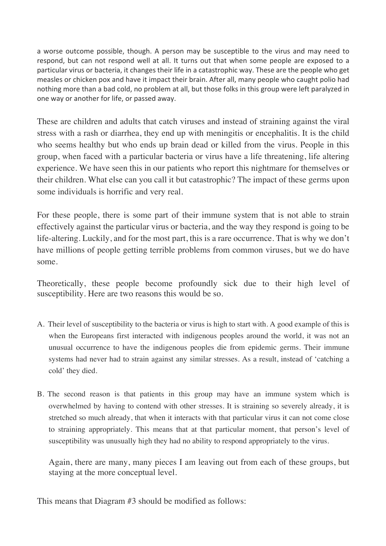a worse outcome possible, though. A person may be susceptible to the virus and may need to respond, but can not respond well at all. It turns out that when some people are exposed to a particular virus or bacteria, it changes their life in a catastrophic way. These are the people who get measles or chicken pox and have it impact their brain. After all, many people who caught polio had nothing more than a bad cold, no problem at all, but those folks in this group were left paralyzed in one way or another for life, or passed away.

These are children and adults that catch viruses and instead of straining against the viral stress with a rash or diarrhea, they end up with meningitis or encephalitis. It is the child who seems healthy but who ends up brain dead or killed from the virus. People in this group, when faced with a particular bacteria or virus have a life threatening, life altering experience. We have seen this in our patients who report this nightmare for themselves or their children. What else can you call it but catastrophic? The impact of these germs upon some individuals is horrific and very real.

For these people, there is some part of their immune system that is not able to strain effectively against the particular virus or bacteria, and the way they respond is going to be life-altering. Luckily, and for the most part, this is a rare occurrence. That is why we don't have millions of people getting terrible problems from common viruses, but we do have some.

Theoretically, these people become profoundly sick due to their high level of susceptibility. Here are two reasons this would be so.

- A. Their level of susceptibility to the bacteria or virus is high to start with. A good example of this is when the Europeans first interacted with indigenous peoples around the world, it was not an unusual occurrence to have the indigenous peoples die from epidemic germs. Their immune systems had never had to strain against any similar stresses. As a result, instead of 'catching a cold' they died.
- B. The second reason is that patients in this group may have an immune system which is overwhelmed by having to contend with other stresses. It is straining so severely already, it is stretched so much already, that when it interacts with that particular virus it can not come close to straining appropriately. This means that at that particular moment, that person's level of susceptibility was unusually high they had no ability to respond appropriately to the virus.

Again, there are many, many pieces I am leaving out from each of these groups, but staying at the more conceptual level.

This means that Diagram #3 should be modified as follows: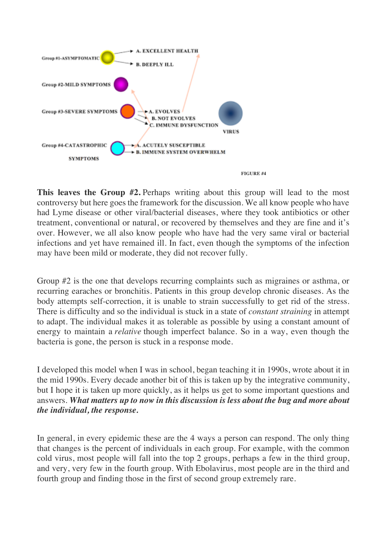

**This leaves the Group #2.** Perhaps writing about this group will lead to the most controversy but here goes the framework for the discussion. We all know people who have had Lyme disease or other viral/bacterial diseases, where they took antibiotics or other treatment, conventional or natural, or recovered by themselves and they are fine and it's over. However, we all also know people who have had the very same viral or bacterial infections and yet have remained ill. In fact, even though the symptoms of the infection may have been mild or moderate, they did not recover fully.

Group #2 is the one that develops recurring complaints such as migraines or asthma, or recurring earaches or bronchitis. Patients in this group develop chronic diseases. As the body attempts self-correction, it is unable to strain successfully to get rid of the stress. There is difficulty and so the individual is stuck in a state of *constant straining* in attempt to adapt. The individual makes it as tolerable as possible by using a constant amount of energy to maintain a *relative* though imperfect balance. So in a way, even though the bacteria is gone, the person is stuck in a response mode.

I developed this model when I was in school, began teaching it in 1990s, wrote about it in the mid 1990s. Every decade another bit of this is taken up by the integrative community, but I hope it is taken up more quickly, as it helps us get to some important questions and answers. *What matters up to now in this discussion is less about the bug and more about the individual, the response.*

In general, in every epidemic these are the 4 ways a person can respond. The only thing that changes is the percent of individuals in each group. For example, with the common cold virus, most people will fall into the top 2 groups, perhaps a few in the third group, and very, very few in the fourth group. With Ebolavirus, most people are in the third and fourth group and finding those in the first of second group extremely rare.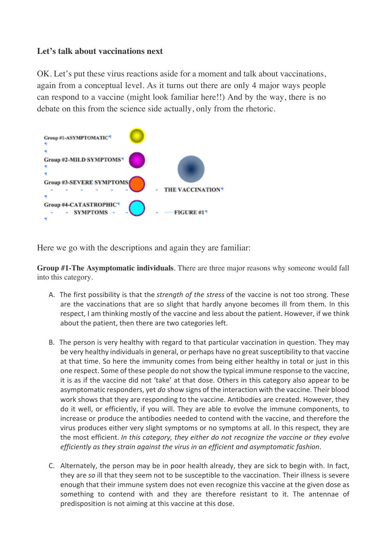### **Let's talk about vaccinations next**

OK. Let's put these virus reactions aside for a moment and talk about vaccinations, again from a conceptual level. As it turns out there are only 4 major ways people can respond to a vaccine (might look familiar here!!) And by the way, there is no debate on this from the science side actually, only from the rhetoric.



Here we go with the descriptions and again they are familiar:

**Group #1-The Asymptomatic individuals**. There are three major reasons why someone would fall into this category.

- A. The first possibility is that the *strength of the stress* of the vaccine is not too strong. These are the vaccinations that are so slight that hardly anyone becomes ill from them. In this respect, I am thinking mostly of the vaccine and less about the patient. However, if we think about the patient, then there are two categories left.
- B. The person is very healthy with regard to that particular vaccination in question. They may be very healthy individuals in general, or perhaps have no great susceptibility to that vaccine at that time. So here the immunity comes from being either healthy in total or just in this one respect. Some of these people do not show the typical immune response to the vaccine, it is as if the vaccine did not 'take' at that dose. Others in this category also appear to be asymptomatic responders, yet *do* show signs of the interaction with the vaccine. Their blood work shows that they are responding to the vaccine. Antibodies are created. However, they do it well, or efficiently, if you will. They are able to evolve the immune components, to increase or produce the antibodies needed to contend with the vaccine, and therefore the virus produces either very slight symptoms or no symptoms at all. In this respect, they are the most efficient. *In this category, they either do not recognize the vaccine or they evolve efficiently as they strain against the virus in an efficient and asymptomatic fashion*.
- C. Alternately, the person may be in poor health already, they are sick to begin with. In fact, they are *so* ill that they seem not to be susceptible to the vaccination. Their illness is severe enough that their immune system does not even recognize this vaccine at the given dose as something to contend with and they are therefore resistant to it. The antennae of predisposition is not aiming at this vaccine at this dose.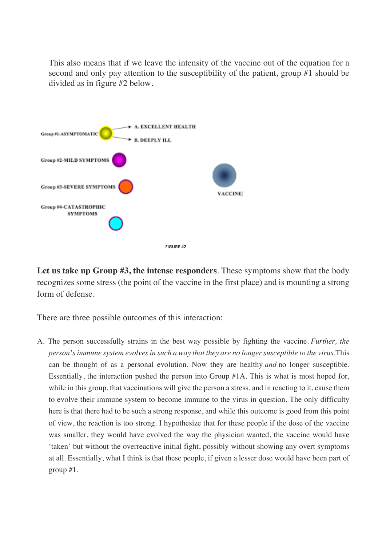This also means that if we leave the intensity of the vaccine out of the equation for a second and only pay attention to the susceptibility of the patient, group #1 should be divided as in figure #2 below.



**Let us take up Group #3, the intense responders**. These symptoms show that the body recognizes some stress (the point of the vaccine in the first place) and is mounting a strong form of defense.

There are three possible outcomes of this interaction:

A. The person successfully strains in the best way possible by fighting the vaccine. *Further, the person's immune system evolves in such a way that they are no longer susceptible to the virus.*This can be thought of as a personal evolution. Now they are healthy *and* no longer susceptible. Essentially, the interaction pushed the person into Group #1A. This is what is most hoped for, while in this group, that vaccinations will give the person a stress, and in reacting to it, cause them to evolve their immune system to become immune to the virus in question. The only difficulty here is that there had to be such a strong response, and while this outcome is good from this point of view, the reaction is too strong. I hypothesize that for these people if the dose of the vaccine was smaller, they would have evolved the way the physician wanted, the vaccine would have 'taken' but without the overreactive initial fight, possibly without showing any overt symptoms at all. Essentially, what I think is that these people, if given a lesser dose would have been part of group #1.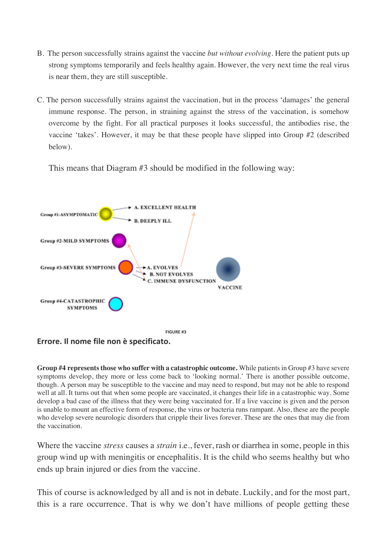- B. The person successfully strains against the vaccine *but without evolving*. Here the patient puts up strong symptoms temporarily and feels healthy again. However, the very next time the real virus is near them, they are still susceptible.
- C. The person successfully strains against the vaccination, but in the process 'damages' the general immune response. The person, in straining against the stress of the vaccination, is somehow overcome by the fight. For all practical purposes it looks successful, the antibodies rise, the vaccine 'takes'. However, it may be that these people have slipped into Group #2 (described below).

This means that Diagram #3 should be modified in the following way:



**Errore. Il nome file non è specificato.**

**Group #4 represents those who suffer with a catastrophic outcome.** While patients in Group #3 have severe symptoms develop, they more or less come back to 'looking normal.' There is another possible outcome, though. A person may be susceptible to the vaccine and may need to respond, but may not be able to respond well at all. It turns out that when some people are vaccinated, it changes their life in a catastrophic way. Some develop a bad case of the illness that they were being vaccinated for. If a live vaccine is given and the person is unable to mount an effective form of response, the virus or bacteria runs rampant. Also, these are the people who develop severe neurologic disorders that cripple their lives forever. These are the ones that may die from the vaccination.

Where the vaccine *stress* causes a *strain* i.e., fever, rash or diarrhea in some, people in this group wind up with meningitis or encephalitis. It is the child who seems healthy but who ends up brain injured or dies from the vaccine.

This of course is acknowledged by all and is not in debate. Luckily, and for the most part, this is a rare occurrence. That is why we don't have millions of people getting these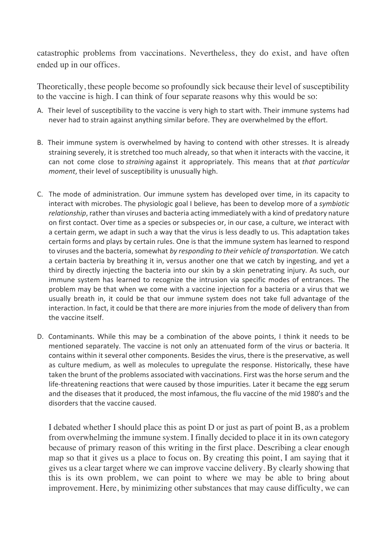catastrophic problems from vaccinations. Nevertheless, they do exist, and have often ended up in our offices.

Theoretically, these people become so profoundly sick because their level of susceptibility to the vaccine is high. I can think of four separate reasons why this would be so:

- A. Their level of susceptibility to the vaccine is very high to start with. Their immune systems had never had to strain against anything similar before. They are overwhelmed by the effort.
- B. Their immune system is overwhelmed by having to contend with other stresses. It is already straining severely, it is stretched too much already, so that when it interacts with the vaccine, it can not come close to *straining* against it appropriately. This means that at *that particular moment*, their level of susceptibility is unusually high.
- C. The mode of administration. Our immune system has developed over time, in its capacity to interact with microbes. The physiologic goal I believe, has been to develop more of a *symbiotic relationship*, rather than viruses and bacteria acting immediately with a kind of predatory nature on first contact. Over time as a species or subspecies or, in our case, a culture, we interact with a certain germ, we adapt in such a way that the virus is less deadly to us. This adaptation takes certain forms and plays by certain rules. One is that the immune system has learned to respond to viruses and the bacteria, somewhat *by responding to their vehicle of transportation.* We catch a certain bacteria by breathing it in, versus another one that we catch by ingesting, and yet a third by directly injecting the bacteria into our skin by a skin penetrating injury. As such, our immune system has learned to recognize the intrusion via specific modes of entrances. The problem may be that when we come with a vaccine injection for a bacteria or a virus that we usually breath in, it could be that our immune system does not take full advantage of the interaction. In fact, it could be that there are more injuries from the mode of delivery than from the vaccine itself.
- D. Contaminants. While this may be a combination of the above points, I think it needs to be mentioned separately. The vaccine is not only an attenuated form of the virus or bacteria. It contains within it several other components. Besides the virus, there is the preservative, as well as culture medium, as well as molecules to upregulate the response. Historically, these have taken the brunt of the problems associated with vaccinations. First was the horse serum and the life-threatening reactions that were caused by those impurities. Later it became the egg serum and the diseases that it produced, the most infamous, the flu vaccine of the mid 1980's and the disorders that the vaccine caused.

I debated whether I should place this as point D or just as part of point B, as a problem from overwhelming the immune system. I finally decided to place it in its own category because of primary reason of this writing in the first place. Describing a clear enough map so that it gives us a place to focus on. By creating this point, I am saying that it gives us a clear target where we can improve vaccine delivery. By clearly showing that this is its own problem, we can point to where we may be able to bring about improvement. Here, by minimizing other substances that may cause difficulty, we can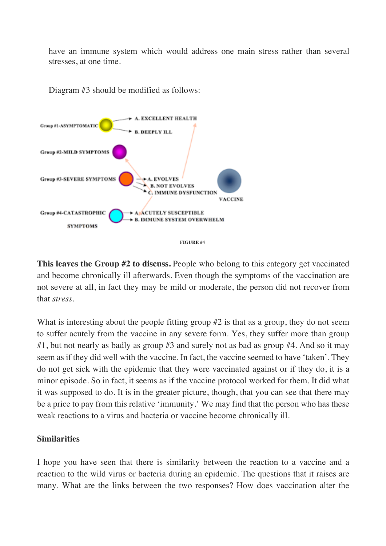have an immune system which would address one main stress rather than several stresses, at one time.

Diagram #3 should be modified as follows:



**This leaves the Group #2 to discuss.** People who belong to this category get vaccinated and become chronically ill afterwards. Even though the symptoms of the vaccination are not severe at all, in fact they may be mild or moderate, the person did not recover from that *stress*.

What is interesting about the people fitting group #2 is that as a group, they do not seem to suffer acutely from the vaccine in any severe form. Yes, they suffer more than group #1, but not nearly as badly as group #3 and surely not as bad as group #4. And so it may seem as if they did well with the vaccine. In fact, the vaccine seemed to have 'taken'. They do not get sick with the epidemic that they were vaccinated against or if they do, it is a minor episode. So in fact, it seems as if the vaccine protocol worked for them. It did what it was supposed to do. It is in the greater picture, though, that you can see that there may be a price to pay from this relative 'immunity.' We may find that the person who has these weak reactions to a virus and bacteria or vaccine become chronically ill.

### **Similarities**

I hope you have seen that there is similarity between the reaction to a vaccine and a reaction to the wild virus or bacteria during an epidemic. The questions that it raises are many. What are the links between the two responses? How does vaccination alter the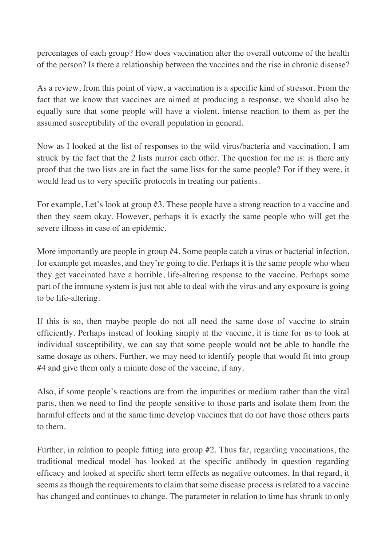percentages of each group? How does vaccination alter the overall outcome of the health of the person? Is there a relationship between the vaccines and the rise in chronic disease?

As a review, from this point of view, a vaccination is a specific kind of stressor. From the fact that we know that vaccines are aimed at producing a response, we should also be equally sure that some people will have a violent, intense reaction to them as per the assumed susceptibility of the overall population in general.

Now as I looked at the list of responses to the wild virus/bacteria and vaccination, I am struck by the fact that the 2 lists mirror each other. The question for me is: is there any proof that the two lists are in fact the same lists for the same people? For if they were, it would lead us to very specific protocols in treating our patients.

For example, Let's look at group #3. These people have a strong reaction to a vaccine and then they seem okay. However, perhaps it is exactly the same people who will get the severe illness in case of an epidemic.

More importantly are people in group #4. Some people catch a virus or bacterial infection, for example get measles, and they're going to die. Perhaps it is the same people who when they get vaccinated have a horrible, life-altering response to the vaccine. Perhaps some part of the immune system is just not able to deal with the virus and any exposure is going to be life-altering.

If this is so, then maybe people do not all need the same dose of vaccine to strain efficiently. Perhaps instead of looking simply at the vaccine, it is time for us to look at individual susceptibility, we can say that some people would not be able to handle the same dosage as others. Further, we may need to identify people that would fit into group #4 and give them only a minute dose of the vaccine, if any.

Also, if some people's reactions are from the impurities or medium rather than the viral parts, then we need to find the people sensitive to those parts and isolate them from the harmful effects and at the same time develop vaccines that do not have those others parts to them.

Further, in relation to people fitting into group #2. Thus far, regarding vaccinations, the traditional medical model has looked at the specific antibody in question regarding efficacy and looked at specific short term effects as negative outcomes. In that regard, it seems as though the requirements to claim that some disease process is related to a vaccine has changed and continues to change. The parameter in relation to time has shrunk to only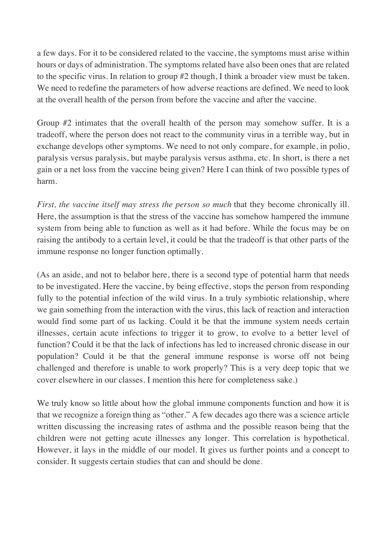a few days. For it to be considered related to the vaccine, the symptoms must arise within hours or days of administration. The symptoms related have also been ones that are related to the specific virus. In relation to group #2 though, I think a broader view must be taken. We need to redefine the parameters of how adverse reactions are defined. We need to look at the overall health of the person from before the vaccine and after the vaccine.

Group #2 intimates that the overall health of the person may somehow suffer. It is a tradeoff, where the person does not react to the community virus in a terrible way, but in exchange develops other symptoms. We need to not only compare, for example, in polio, paralysis versus paralysis, but maybe paralysis versus asthma, etc. In short, is there a net gain or a net loss from the vaccine being given? Here I can think of two possible types of harm.

*First, the vaccine itself may stress the person so much* that they become chronically ill. Here, the assumption is that the stress of the vaccine has somehow hampered the immune system from being able to function as well as it had before. While the focus may be on raising the antibody to a certain level, it could be that the tradeoff is that other parts of the immune response no longer function optimally.

(As an aside, and not to belabor here, there is a second type of potential harm that needs to be investigated. Here the vaccine, by being effective, stops the person from responding fully to the potential infection of the wild virus. In a truly symbiotic relationship, where we gain something from the interaction with the virus, this lack of reaction and interaction would find some part of us lacking. Could it be that the immune system needs certain illnesses, certain acute infections to trigger it to grow, to evolve to a better level of function? Could it be that the lack of infections has led to increased chronic disease in our population? Could it be that the general immune response is worse off not being challenged and therefore is unable to work properly? This is a very deep topic that we cover elsewhere in our classes. I mention this here for completeness sake.)

We truly know so little about how the global immune components function and how it is that we recognize a foreign thing as "other." A few decades ago there was a science article written discussing the increasing rates of asthma and the possible reason being that the children were not getting acute illnesses any longer. This correlation is hypothetical. However, it lays in the middle of our model. It gives us further points and a concept to consider. It suggests certain studies that can and should be done.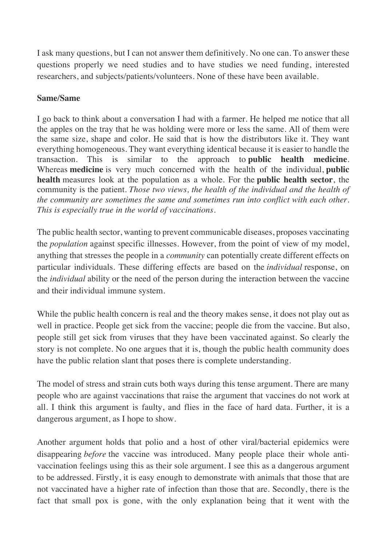I ask many questions, but I can not answer them definitively. No one can. To answer these questions properly we need studies and to have studies we need funding, interested researchers, and subjects/patients/volunteers. None of these have been available.

## **Same/Same**

I go back to think about a conversation I had with a farmer. He helped me notice that all the apples on the tray that he was holding were more or less the same. All of them were the same size, shape and color. He said that is how the distributors like it. They want everything homogeneous. They want everything identical because it is easier to handle the transaction. This is similar to the approach to **public health medicine**. Whereas **medicine** is very much concerned with the health of the individual, **public health** measures look at the population as a whole. For the **public health sector**, the community is the patient. *Those two views, the health of the individual and the health of the community are sometimes the same and sometimes run into conflict with each other. This is especially true in the world of vaccinations*.

The public health sector, wanting to prevent communicable diseases, proposes vaccinating the *population* against specific illnesses. However, from the point of view of my model, anything that stresses the people in a *community* can potentially create different effects on particular individuals. These differing effects are based on the *individual* response, on the *individual* ability or the need of the person during the interaction between the vaccine and their individual immune system.

While the public health concern is real and the theory makes sense, it does not play out as well in practice. People get sick from the vaccine; people die from the vaccine. But also, people still get sick from viruses that they have been vaccinated against. So clearly the story is not complete. No one argues that it is, though the public health community does have the public relation slant that poses there is complete understanding.

The model of stress and strain cuts both ways during this tense argument. There are many people who are against vaccinations that raise the argument that vaccines do not work at all. I think this argument is faulty, and flies in the face of hard data. Further, it is a dangerous argument, as I hope to show.

Another argument holds that polio and a host of other viral/bacterial epidemics were disappearing *before* the vaccine was introduced. Many people place their whole antivaccination feelings using this as their sole argument. I see this as a dangerous argument to be addressed. Firstly, it is easy enough to demonstrate with animals that those that are not vaccinated have a higher rate of infection than those that are. Secondly, there is the fact that small pox is gone, with the only explanation being that it went with the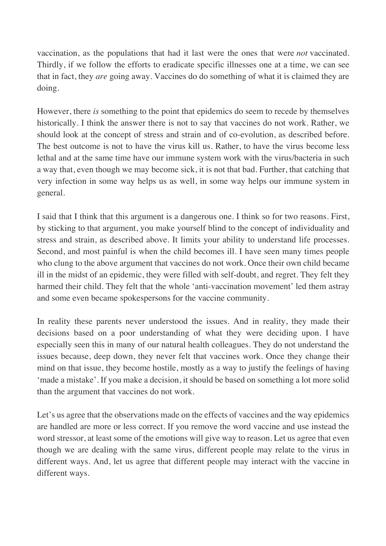vaccination, as the populations that had it last were the ones that were *not* vaccinated. Thirdly, if we follow the efforts to eradicate specific illnesses one at a time, we can see that in fact, they *are* going away. Vaccines do do something of what it is claimed they are doing.

However, there *is* something to the point that epidemics do seem to recede by themselves historically. I think the answer there is not to say that vaccines do not work. Rather, we should look at the concept of stress and strain and of co-evolution, as described before. The best outcome is not to have the virus kill us. Rather, to have the virus become less lethal and at the same time have our immune system work with the virus/bacteria in such a way that, even though we may become sick, it is not that bad. Further, that catching that very infection in some way helps us as well, in some way helps our immune system in general.

I said that I think that this argument is a dangerous one. I think so for two reasons. First, by sticking to that argument, you make yourself blind to the concept of individuality and stress and strain, as described above. It limits your ability to understand life processes. Second, and most painful is when the child becomes ill. I have seen many times people who clung to the above argument that vaccines do not work. Once their own child became ill in the midst of an epidemic, they were filled with self-doubt, and regret. They felt they harmed their child. They felt that the whole 'anti-vaccination movement' led them astray and some even became spokespersons for the vaccine community.

In reality these parents never understood the issues. And in reality, they made their decisions based on a poor understanding of what they were deciding upon. I have especially seen this in many of our natural health colleagues. They do not understand the issues because, deep down, they never felt that vaccines work. Once they change their mind on that issue, they become hostile, mostly as a way to justify the feelings of having 'made a mistake'. If you make a decision, it should be based on something a lot more solid than the argument that vaccines do not work.

Let's us agree that the observations made on the effects of vaccines and the way epidemics are handled are more or less correct. If you remove the word vaccine and use instead the word stressor, at least some of the emotions will give way to reason. Let us agree that even though we are dealing with the same virus, different people may relate to the virus in different ways. And, let us agree that different people may interact with the vaccine in different ways.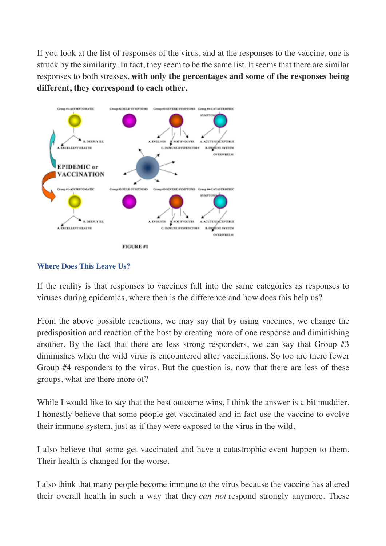If you look at the list of responses of the virus, and at the responses to the vaccine, one is struck by the similarity. In fact, they seem to be the same list. It seems that there are similar responses to both stresses, **with only the percentages and some of the responses being different, they correspond to each other.**



#### **Where Does This Leave Us?**

If the reality is that responses to vaccines fall into the same categories as responses to viruses during epidemics, where then is the difference and how does this help us?

From the above possible reactions, we may say that by using vaccines, we change the predisposition and reaction of the host by creating more of one response and diminishing another. By the fact that there are less strong responders, we can say that Group #3 diminishes when the wild virus is encountered after vaccinations. So too are there fewer Group #4 responders to the virus. But the question is, now that there are less of these groups, what are there more of?

While I would like to say that the best outcome wins, I think the answer is a bit muddier. I honestly believe that some people get vaccinated and in fact use the vaccine to evolve their immune system, just as if they were exposed to the virus in the wild.

I also believe that some get vaccinated and have a catastrophic event happen to them. Their health is changed for the worse.

I also think that many people become immune to the virus because the vaccine has altered their overall health in such a way that they *can not* respond strongly anymore. These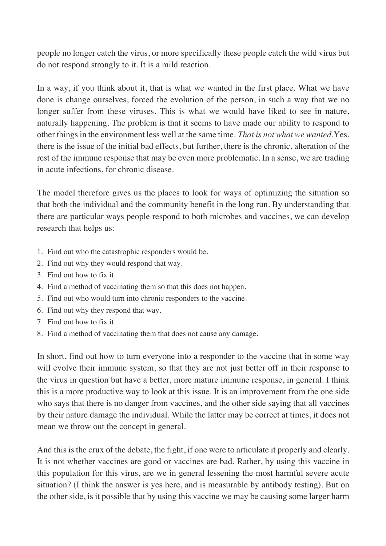people no longer catch the virus, or more specifically these people catch the wild virus but do not respond strongly to it. It is a mild reaction.

In a way, if you think about it, that is what we wanted in the first place. What we have done is change ourselves, forced the evolution of the person, in such a way that we no longer suffer from these viruses. This is what we would have liked to see in nature, naturally happening. The problem is that it seems to have made our ability to respond to other things in the environment less well at the same time. *That is not what we wanted.*Yes, there is the issue of the initial bad effects, but further, there is the chronic, alteration of the rest of the immune response that may be even more problematic. In a sense, we are trading in acute infections, for chronic disease.

The model therefore gives us the places to look for ways of optimizing the situation so that both the individual and the community benefit in the long run. By understanding that there are particular ways people respond to both microbes and vaccines, we can develop research that helps us:

- 1. Find out who the catastrophic responders would be.
- 2. Find out why they would respond that way.
- 3. Find out how to fix it.
- 4. Find a method of vaccinating them so that this does not happen.
- 5. Find out who would turn into chronic responders to the vaccine.
- 6. Find out why they respond that way.
- 7. Find out how to fix it.
- 8. Find a method of vaccinating them that does not cause any damage.

In short, find out how to turn everyone into a responder to the vaccine that in some way will evolve their immune system, so that they are not just better off in their response to the virus in question but have a better, more mature immune response, in general. I think this is a more productive way to look at this issue. It is an improvement from the one side who says that there is no danger from vaccines, and the other side saying that all vaccines by their nature damage the individual. While the latter may be correct at times, it does not mean we throw out the concept in general.

And this is the crux of the debate, the fight, if one were to articulate it properly and clearly. It is not whether vaccines are good or vaccines are bad. Rather, by using this vaccine in this population for this virus, are we in general lessening the most harmful severe acute situation? (I think the answer is yes here, and is measurable by antibody testing). But on the other side, is it possible that by using this vaccine we may be causing some larger harm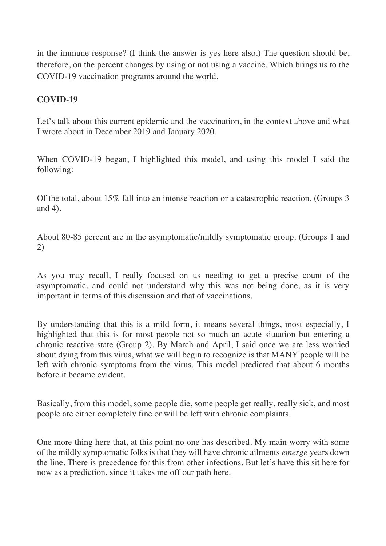in the immune response? (I think the answer is yes here also.) The question should be, therefore, on the percent changes by using or not using a vaccine. Which brings us to the COVID-19 vaccination programs around the world.

## **COVID-19**

Let's talk about this current epidemic and the vaccination, in the context above and what I wrote about in December 2019 and January 2020.

When COVID-19 began, I highlighted this model, and using this model I said the following:

Of the total, about 15% fall into an intense reaction or a catastrophic reaction. (Groups 3 and 4).

About 80-85 percent are in the asymptomatic/mildly symptomatic group. (Groups 1 and 2)

As you may recall, I really focused on us needing to get a precise count of the asymptomatic, and could not understand why this was not being done, as it is very important in terms of this discussion and that of vaccinations.

By understanding that this is a mild form, it means several things, most especially, I highlighted that this is for most people not so much an acute situation but entering a chronic reactive state (Group 2). By March and April, I said once we are less worried about dying from this virus, what we will begin to recognize is that MANY people will be left with chronic symptoms from the virus. This model predicted that about 6 months before it became evident.

Basically, from this model, some people die, some people get really, really sick, and most people are either completely fine or will be left with chronic complaints.

One more thing here that, at this point no one has described. My main worry with some of the mildly symptomatic folks is that they will have chronic ailments *emerge* years down the line. There is precedence for this from other infections. But let's have this sit here for now as a prediction, since it takes me off our path here.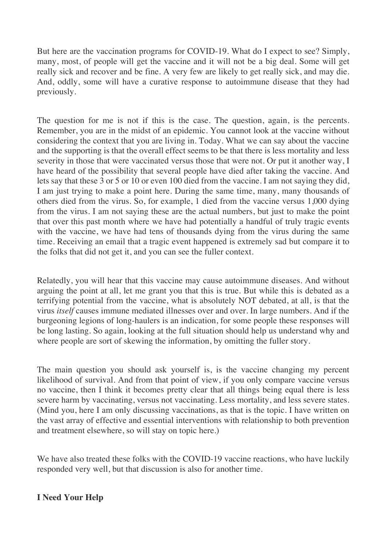But here are the vaccination programs for COVID-19. What do I expect to see? Simply, many, most, of people will get the vaccine and it will not be a big deal. Some will get really sick and recover and be fine. A very few are likely to get really sick, and may die. And, oddly, some will have a curative response to autoimmune disease that they had previously.

The question for me is not if this is the case. The question, again, is the percents. Remember, you are in the midst of an epidemic. You cannot look at the vaccine without considering the context that you are living in. Today. What we can say about the vaccine and the supporting is that the overall effect seems to be that there is less mortality and less severity in those that were vaccinated versus those that were not. Or put it another way, I have heard of the possibility that several people have died after taking the vaccine. And lets say that these 3 or 5 or 10 or even 100 died from the vaccine. I am not saying they did, I am just trying to make a point here. During the same time, many, many thousands of others died from the virus. So, for example, 1 died from the vaccine versus 1,000 dying from the virus. I am not saying these are the actual numbers, but just to make the point that over this past month where we have had potentially a handful of truly tragic events with the vaccine, we have had tens of thousands dying from the virus during the same time. Receiving an email that a tragic event happened is extremely sad but compare it to the folks that did not get it, and you can see the fuller context.

Relatedly, you will hear that this vaccine may cause autoimmune diseases. And without arguing the point at all, let me grant you that this is true. But while this is debated as a terrifying potential from the vaccine, what is absolutely NOT debated, at all, is that the virus *itself* causes immune mediated illnesses over and over. In large numbers. And if the burgeoning legions of long-haulers is an indication, for some people these responses will be long lasting. So again, looking at the full situation should help us understand why and where people are sort of skewing the information, by omitting the fuller story.

The main question you should ask yourself is, is the vaccine changing my percent likelihood of survival. And from that point of view, if you only compare vaccine versus no vaccine, then I think it becomes pretty clear that all things being equal there is less severe harm by vaccinating, versus not vaccinating. Less mortality, and less severe states. (Mind you, here I am only discussing vaccinations, as that is the topic. I have written on the vast array of effective and essential interventions with relationship to both prevention and treatment elsewhere, so will stay on topic here.)

We have also treated these folks with the COVID-19 vaccine reactions, who have luckily responded very well, but that discussion is also for another time.

# **I Need Your Help**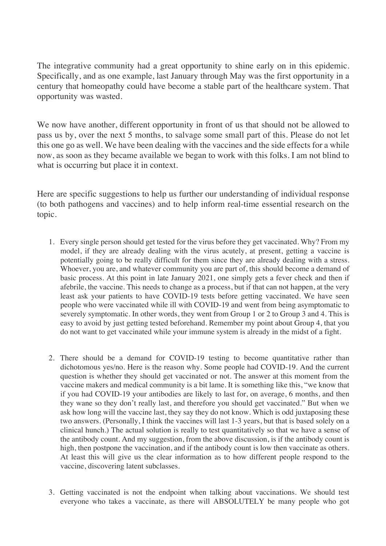The integrative community had a great opportunity to shine early on in this epidemic. Specifically, and as one example, last January through May was the first opportunity in a century that homeopathy could have become a stable part of the healthcare system. That opportunity was wasted.

We now have another, different opportunity in front of us that should not be allowed to pass us by, over the next 5 months, to salvage some small part of this. Please do not let this one go as well. We have been dealing with the vaccines and the side effects for a while now, as soon as they became available we began to work with this folks. I am not blind to what is occurring but place it in context.

Here are specific suggestions to help us further our understanding of individual response (to both pathogens and vaccines) and to help inform real-time essential research on the topic.

- 1. Every single person should get tested for the virus before they get vaccinated. Why? From my model, if they are already dealing with the virus acutely, at present, getting a vaccine is potentially going to be really difficult for them since they are already dealing with a stress. Whoever, you are, and whatever community you are part of, this should become a demand of basic process. At this point in late January 2021, one simply gets a fever check and then if afebrile, the vaccine. This needs to change as a process, but if that can not happen, at the very least ask your patients to have COVID-19 tests before getting vaccinated. We have seen people who were vaccinated while ill with COVID-19 and went from being asymptomatic to severely symptomatic. In other words, they went from Group 1 or 2 to Group 3 and 4. This is easy to avoid by just getting tested beforehand. Remember my point about Group 4, that you do not want to get vaccinated while your immune system is already in the midst of a fight.
- 2. There should be a demand for COVID-19 testing to become quantitative rather than dichotomous yes/no. Here is the reason why. Some people had COVID-19. And the current question is whether they should get vaccinated or not. The answer at this moment from the vaccine makers and medical community is a bit lame. It is something like this, "we know that if you had COVID-19 your antibodies are likely to last for, on average, 6 months, and then they wane so they don't really last, and therefore you should get vaccinated." But when we ask how long will the vaccine last, they say they do not know. Which is odd juxtaposing these two answers. (Personally, I think the vaccines will last 1-3 years, but that is based solely on a clinical hunch.) The actual solution is really to test quantitatively so that we have a sense of the antibody count. And my suggestion, from the above discussion, is if the antibody count is high, then postpone the vaccination, and if the antibody count is low then vaccinate as others. At least this will give us the clear information as to how different people respond to the vaccine, discovering latent subclasses.
- 3. Getting vaccinated is not the endpoint when talking about vaccinations. We should test everyone who takes a vaccinate, as there will ABSOLUTELY be many people who got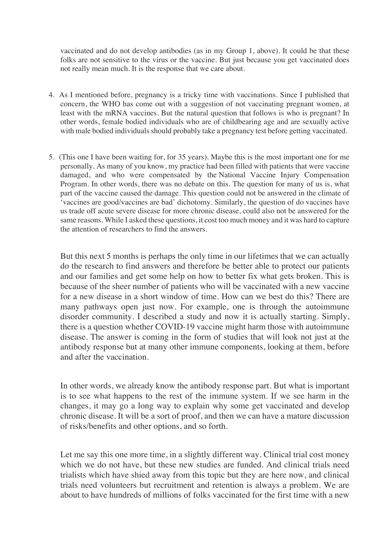vaccinated and do not develop antibodies (as in my Group 1, above). It could be that these folks are not sensitive to the virus or the vaccine. But just because you get vaccinated does not really mean much. It is the response that we care about.

- 4. As I mentioned before, pregnancy is a tricky time with vaccinations. Since I published that concern, the WHO has come out with a suggestion of not vaccinating pregnant women, at least with the mRNA vaccines. But the natural question that follows is who is pregnant? In other words, female bodied individuals who are of childbearing age and are sexually active with male bodied individuals should probably take a pregnancy test before getting vaccinated.
- 5. (This one I have been waiting for, for 35 years). Maybe this is the most important one for me personally. As many of you know, my practice had been filled with patients that were vaccine damaged, and who were compensated by the National Vaccine Injury Compensation Program. In other words, there was no debate on this. The question for many of us is, what part of the vaccine caused the damage. This question could not be answered in the climate of 'vaccines are good/vaccines are bad' dichotomy. Similarly, the question of do vaccines have us trade off acute severe disease for more chronic disease, could also not be answered for the same reasons. While I asked these questions, it cost too much money and it was hard to capture the attention of researchers to find the answers.

But this next 5 months is perhaps the only time in our lifetimes that we can actually do the research to find answers and therefore be better able to protect our patients and our families and get some help on how to better fix what gets broken. This is because of the sheer number of patients who will be vaccinated with a new vaccine for a new disease in a short window of time. How can we best do this? There are many pathways open just now. For example, one is through the autoimmune disorder community. I described a study and now it is actually starting. Simply, there is a question whether COVID-19 vaccine might harm those with autoimmune disease. The answer is coming in the form of studies that will look not just at the antibody response but at many other immune components, looking at them, before and after the vaccination.

In other words, we already know the antibody response part. But what is important is to see what happens to the rest of the immune system. If we see harm in the changes, it may go a long way to explain why some get vaccinated and develop chronic disease. It will be a sort of proof, and then we can have a mature discussion of risks/benefits and other options, and so forth.

Let me say this one more time, in a slightly different way. Clinical trial cost money which we do not have, but these new studies are funded. And clinical trials need trialists which have shied away from this topic but they are here now, and clinical trials need volunteers but recruitment and retention is always a problem. We are about to have hundreds of millions of folks vaccinated for the first time with a new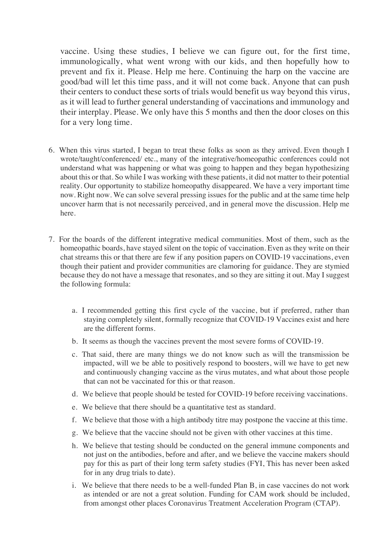vaccine. Using these studies, I believe we can figure out, for the first time, immunologically, what went wrong with our kids, and then hopefully how to prevent and fix it. Please. Help me here. Continuing the harp on the vaccine are good/bad will let this time pass, and it will not come back. Anyone that can push their centers to conduct these sorts of trials would benefit us way beyond this virus, as it will lead to further general understanding of vaccinations and immunology and their interplay. Please. We only have this 5 months and then the door closes on this for a very long time.

- 6. When this virus started, I began to treat these folks as soon as they arrived. Even though I wrote/taught/conferenced/ etc., many of the integrative/homeopathic conferences could not understand what was happening or what was going to happen and they began hypothesizing about this or that. So while I was working with these patients, it did not matter to their potential reality. Our opportunity to stabilize homeopathy disappeared. We have a very important time now. Right now. We can solve several pressing issues for the public and at the same time help uncover harm that is not necessarily perceived, and in general move the discussion. Help me here.
- 7. For the boards of the different integrative medical communities. Most of them, such as the homeopathic boards, have stayed silent on the topic of vaccination. Even as they write on their chat streams this or that there are few if any position papers on COVID-19 vaccinations, even though their patient and provider communities are clamoring for guidance. They are stymied because they do not have a message that resonates, and so they are sitting it out. May I suggest the following formula:
	- a. I recommended getting this first cycle of the vaccine, but if preferred, rather than staying completely silent, formally recognize that COVID-19 Vaccines exist and here are the different forms.
	- b. It seems as though the vaccines prevent the most severe forms of COVID-19.
	- c. That said, there are many things we do not know such as will the transmission be impacted, will we be able to positively respond to boosters, will we have to get new and continuously changing vaccine as the virus mutates, and what about those people that can not be vaccinated for this or that reason.
	- d. We believe that people should be tested for COVID-19 before receiving vaccinations.
	- e. We believe that there should be a quantitative test as standard.
	- f. We believe that those with a high antibody titre may postpone the vaccine at this time.
	- g. We believe that the vaccine should not be given with other vaccines at this time.
	- h. We believe that testing should be conducted on the general immune components and not just on the antibodies, before and after, and we believe the vaccine makers should pay for this as part of their long term safety studies (FYI, This has never been asked for in any drug trials to date).
	- i. We believe that there needs to be a well-funded Plan B, in case vaccines do not work as intended or are not a great solution. Funding for CAM work should be included, from amongst other places Coronavirus Treatment Acceleration Program (CTAP).